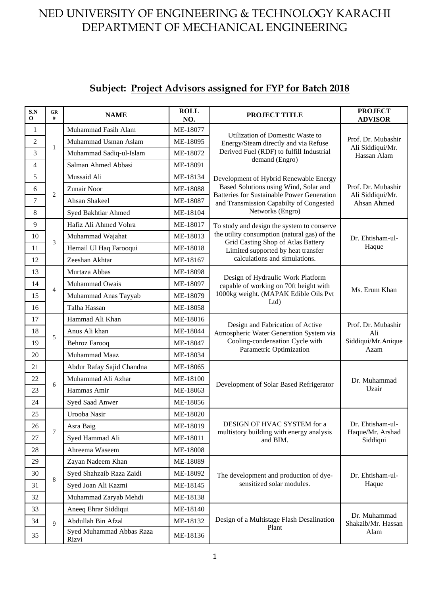# **Subject: Project Advisors assigned for FYP for Batch 2018**

| S.N<br>$\bf{0}$ | GR<br>#        | <b>NAME</b>                       | <b>ROLL</b><br>NO. | <b>PROJECT TITLE</b>                                                                                                                      | <b>PROJECT</b><br><b>ADVISOR</b>                      |
|-----------------|----------------|-----------------------------------|--------------------|-------------------------------------------------------------------------------------------------------------------------------------------|-------------------------------------------------------|
| 1               |                | Muhammad Fasih Alam               | ME-18077           | Utilization of Domestic Waste to<br>Energy/Steam directly and via Refuse<br>Derived Fuel (RDF) to fulfill Industrial                      | Prof. Dr. Mubashir<br>Ali Siddiqui/Mr.<br>Hassan Alam |
| $\overline{2}$  |                | Muhammad Usman Aslam              | ME-18095           |                                                                                                                                           |                                                       |
| 3               | $\mathbf{1}$   | Muhammad Sadiq-ul-Islam           | ME-18072           |                                                                                                                                           |                                                       |
| $\overline{4}$  |                | Salman Ahmed Abbasi               | ME-18091           | demand (Engro)                                                                                                                            |                                                       |
| 5               |                | Mussaid Ali                       | ME-18134           | Development of Hybrid Renewable Energy                                                                                                    |                                                       |
| 6               | 2              | Zunair Noor                       | ME-18088           | Based Solutions using Wind, Solar and<br><b>Batteries for Sustainable Power Generation</b>                                                | Prof. Dr. Mubashir<br>Ali Siddiqui/Mr.                |
| 7               |                | Ahsan Shakeel                     | ME-18087           | and Transmission Capabilty of Congested<br>Networks (Engro)                                                                               | Ahsan Ahmed                                           |
| 8               |                | Syed Bakhtiar Ahmed               | ME-18104           |                                                                                                                                           |                                                       |
| 9               |                | Hafiz Ali Ahmed Vohra             | ME-18017           | To study and design the system to conserve                                                                                                |                                                       |
| 10              | 3              | Muhammad Wajahat                  | ME-18013           | the utility consumption (natural gas) of the                                                                                              | Dr. Ehtisham-ul-                                      |
| 11              |                | Hemail Ul Haq Farooqui            | ME-18018           | Grid Casting Shop of Atlas Battery<br>Limited supported by heat transfer                                                                  | Haque                                                 |
| 12              |                | Zeeshan Akhtar                    | ME-18167           | calculations and simulations.                                                                                                             |                                                       |
| 13              |                | Murtaza Abbas                     | ME-18098           | Design of Hydraulic Work Platform<br>capable of working on 70ft height with<br>1000kg weight. (MAPAK Edible Oils Pvt<br>Ltd               | Ms. Erum Khan                                         |
| 14              | $\overline{4}$ | Muhammad Owais                    | ME-18097           |                                                                                                                                           |                                                       |
| 15              |                | Muhammad Anas Tayyab              | ME-18079           |                                                                                                                                           |                                                       |
| 16              |                | Talha Hassan                      | ME-18058           |                                                                                                                                           |                                                       |
| 17              |                | Hammad Ali Khan                   | ME-18016           | Design and Fabrication of Active<br>Atmospheric Water Generation System via<br>Cooling-condensation Cycle with<br>Parametric Optimization | Prof. Dr. Mubashir<br>Ali<br>Siddiqui/Mr.Anique       |
| 18              | 5              | Anus Ali khan                     | ME-18044           |                                                                                                                                           |                                                       |
| 19              |                | <b>Behroz Farooq</b>              | ME-18047           |                                                                                                                                           |                                                       |
| 20              |                | Muhammad Maaz                     | ME-18034           |                                                                                                                                           | Azam                                                  |
| 21              |                | Abdur Rafay Sajid Chandna         | ME-18065           | Development of Solar Based Refrigerator                                                                                                   | Dr. Muhammad<br>Uzair                                 |
| 22              | 6              | Muhammad Ali Azhar                | ME-18100           |                                                                                                                                           |                                                       |
| 23              |                | Hammas Amir                       | ME-18063           |                                                                                                                                           |                                                       |
| 24              |                | Syed Saad Anwer                   | ME-18056           |                                                                                                                                           |                                                       |
| 25              |                | Urooba Nasir                      | ME-18020           |                                                                                                                                           |                                                       |
| 26              | $\tau$         | Asra Baig                         | ME-18019           | DESIGN OF HVAC SYSTEM for a                                                                                                               | Dr. Ehtisham-ul-<br>Haque/Mr. Arshad<br>Siddiqui      |
| 27              |                | Syed Hammad Ali                   | ME-18011           | multistory building with energy analysis<br>and BIM.                                                                                      |                                                       |
| 28              |                | Ahreema Waseem                    | ME-18008           |                                                                                                                                           |                                                       |
| 29              |                | Zayan Nadeem Khan                 | ME-18089           | The development and production of dye-<br>sensitized solar modules.                                                                       |                                                       |
| 30              | 8              | Syed Shahzaib Raza Zaidi          | ME-18092           |                                                                                                                                           | Dr. Ehtisham-ul-<br>Haque                             |
| 31              |                | Syed Joan Ali Kazmi               | ME-18145           |                                                                                                                                           |                                                       |
| 32              |                | Muhammad Zaryab Mehdi             | ME-18138           |                                                                                                                                           |                                                       |
| 33              |                | Aneeq Ehrar Siddiqui              | ME-18140           |                                                                                                                                           |                                                       |
| 34              | $\mathbf Q$    | Abdullah Bin Afzal                | ME-18132           | Design of a Multistage Flash Desalination                                                                                                 | Dr. Muhammad<br>Shakaib/Mr. Hassan                    |
| 35              |                | Syed Muhammad Abbas Raza<br>Rizvi | ME-18136           | Plant                                                                                                                                     | Alam                                                  |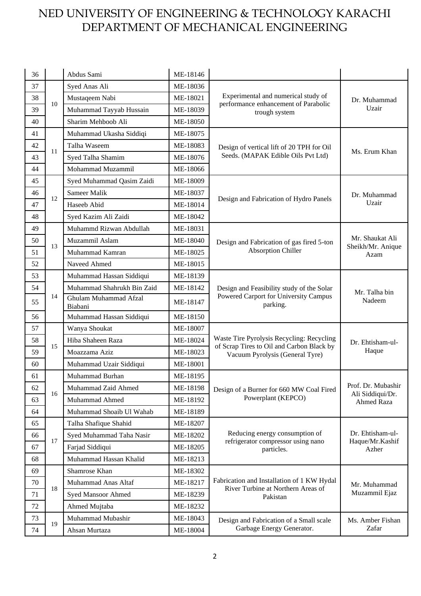| 36 |    | Abdus Sami                       | ME-18146 |                                                                                                                           |                                        |
|----|----|----------------------------------|----------|---------------------------------------------------------------------------------------------------------------------------|----------------------------------------|
| 37 |    | Syed Anas Ali                    | ME-18036 | Experimental and numerical study of<br>performance enhancement of Parabolic<br>trough system                              | Dr. Muhammad<br>Uzair                  |
| 38 | 10 | Mustaqeem Nabi                   | ME-18021 |                                                                                                                           |                                        |
| 39 |    | Muhammad Tayyab Hussain          | ME-18039 |                                                                                                                           |                                        |
| 40 |    | Sharim Mehboob Ali               | ME-18050 |                                                                                                                           |                                        |
| 41 |    | Muhammad Ukasha Siddiqi          | ME-18075 |                                                                                                                           |                                        |
| 42 |    | Talha Waseem                     | ME-18083 | Design of vertical lift of 20 TPH for Oil                                                                                 |                                        |
| 43 | 11 | Syed Talha Shamim                | ME-18076 | Seeds. (MAPAK Edible Oils Pvt Ltd)                                                                                        | Ms. Erum Khan                          |
| 44 |    | Mohammad Muzammil                | ME-18066 |                                                                                                                           |                                        |
| 45 |    | Syed Muhammad Qasim Zaidi        | ME-18009 |                                                                                                                           | Dr. Muhammad<br>Uzair                  |
| 46 |    | Sameer Malik                     | ME-18037 | Design and Fabrication of Hydro Panels                                                                                    |                                        |
| 47 | 12 | Haseeb Abid                      | ME-18014 |                                                                                                                           |                                        |
| 48 |    | Syed Kazim Ali Zaidi             | ME-18042 |                                                                                                                           |                                        |
| 49 |    | Muhammd Rizwan Abdullah          | ME-18031 |                                                                                                                           |                                        |
| 50 | 13 | Muzammil Aslam                   | ME-18040 | Design and Fabrication of gas fired 5-ton<br><b>Absorption Chiller</b>                                                    | Mr. Shaukat Ali                        |
| 51 |    | Muhammad Kamran                  | ME-18025 |                                                                                                                           | Sheikh/Mr. Anique<br>Azam              |
| 52 |    | Naveed Ahmed                     | ME-18015 |                                                                                                                           |                                        |
| 53 |    | Muhammad Hassan Siddiqui         | ME-18139 | Design and Feasibility study of the Solar<br>Powered Carport for University Campus<br>parking.                            | Mr. Talha bin<br>Nadeem                |
| 54 |    | Muhammad Shahrukh Bin Zaid       | ME-18142 |                                                                                                                           |                                        |
| 55 | 14 | Ghulam Muhammad Afzal<br>Biabani | ME-18147 |                                                                                                                           |                                        |
| 56 |    | Muhammad Hassan Siddiqui         | ME-18150 |                                                                                                                           |                                        |
| 57 |    | Wanya Shoukat                    | ME-18007 | Waste Tire Pyrolysis Recycling: Recycling<br>of Scrap Tires to Oil and Carbon Black by<br>Vacuum Pyrolysis (General Tyre) | Dr. Ehtisham-ul-<br>Haque              |
| 58 | 15 | Hiba Shaheen Raza                | ME-18024 |                                                                                                                           |                                        |
| 59 |    | Moazzama Aziz                    | ME-18023 |                                                                                                                           |                                        |
| 60 |    | Muhammad Uzair Siddiqui          | ME-18001 |                                                                                                                           |                                        |
| 61 |    | Muhammad Burhan                  | ME-18195 | Design of a Burner for 660 MW Coal Fired<br>Powerplant (KEPCO)                                                            |                                        |
| 62 | 16 | Muhammad Zaid Ahmed              | ME-18198 |                                                                                                                           | Prof. Dr. Mubashir<br>Ali Siddiqui/Dr. |
| 63 |    | Muhammad Ahmed                   | ME-18192 |                                                                                                                           | Ahmed Raza                             |
| 64 |    | Muhammad Shoaib Ul Wahab         | ME-18189 |                                                                                                                           |                                        |
| 65 |    | Talha Shafique Shahid            | ME-18207 |                                                                                                                           |                                        |
| 66 | 17 | Syed Muhammad Taha Nasir         | ME-18202 | Reducing energy consumption of                                                                                            | Dr. Ehtisham-ul-<br>Haque/Mr.Kashif    |
| 67 |    | Farjad Siddiqui                  | ME-18205 | refrigerator compressor using nano<br>particles.                                                                          | Azher                                  |
| 68 |    | Muhammad Hassan Khalid           | ME-18213 |                                                                                                                           |                                        |
| 69 |    | Shamrose Khan                    | ME-18302 | Fabrication and Installation of 1 KW Hydal<br>River Turbine at Northern Areas of<br>Pakistan                              | Mr. Muhammad<br>Muzammil Ejaz          |
| 70 |    | Muhammad Anas Altaf              | ME-18217 |                                                                                                                           |                                        |
| 71 | 18 | Syed Mansoor Ahmed               | ME-18239 |                                                                                                                           |                                        |
| 72 |    | Ahmed Mujtaba                    | ME-18232 |                                                                                                                           |                                        |
| 73 |    | Muhammad Mubashir                | ME-18043 | Design and Fabrication of a Small scale                                                                                   | Ms. Amber Fishan                       |
| 74 | 19 | Ahsan Murtaza                    | ME-18004 | Garbage Energy Generator.                                                                                                 | Zafar                                  |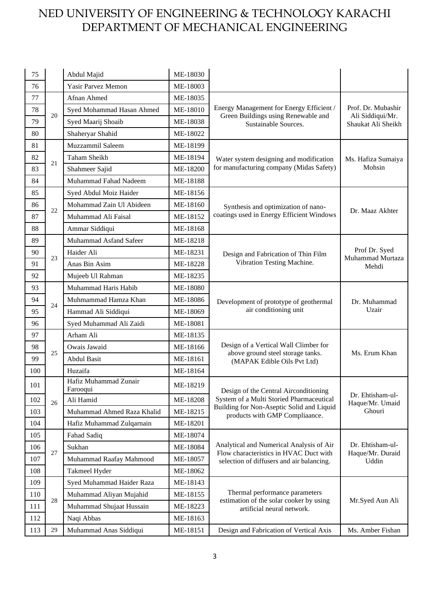| 75  |    | Abdul Majid                       | ME-18030 |                                                                                                                                 |                                                              |
|-----|----|-----------------------------------|----------|---------------------------------------------------------------------------------------------------------------------------------|--------------------------------------------------------------|
| 76  |    | Yasir Parvez Memon                | ME-18003 |                                                                                                                                 |                                                              |
| 77  |    | Afnan Ahmed                       | ME-18035 |                                                                                                                                 | Prof. Dr. Mubashir<br>Ali Siddiqui/Mr.<br>Shaukat Ali Sheikh |
| 78  |    | Syed Mohammad Hasan Ahmed         | ME-18010 | Energy Management for Energy Efficient /                                                                                        |                                                              |
| 79  | 20 | Syed Maarij Shoaib                | ME-18038 | Green Buildings using Renewable and<br>Sustainable Sources.                                                                     |                                                              |
| 80  |    | Shaheryar Shahid                  | ME-18022 |                                                                                                                                 |                                                              |
| 81  |    | Muzzammil Saleem                  | ME-18199 |                                                                                                                                 |                                                              |
| 82  |    | <b>Taham Sheikh</b>               | ME-18194 | Water system designing and modification                                                                                         | Ms. Hafiza Sumaiya                                           |
| 83  | 21 | Shahmeer Sajid                    | ME-18200 | for manufacturing company (Midas Safety)                                                                                        | Mohsin                                                       |
| 84  |    | Muhammad Fahad Nadeem             | ME-18188 |                                                                                                                                 |                                                              |
| 85  |    | Syed Abdul Moiz Haider            | ME-18156 |                                                                                                                                 |                                                              |
| 86  |    | Mohammad Zain Ul Abideen          | ME-18160 | Synthesis and optimization of nano-<br>coatings used in Energy Efficient Windows                                                | Dr. Maaz Akhter                                              |
| 87  | 22 | Muhammad Ali Faisal               | ME-18152 |                                                                                                                                 |                                                              |
| 88  |    | Ammar Siddiqui                    | ME-18168 |                                                                                                                                 |                                                              |
| 89  |    | Muhammad Asfand Safeer            | ME-18218 |                                                                                                                                 |                                                              |
| 90  |    | Haider Ali                        | ME-18231 | Design and Fabrication of Thin Film<br>Vibration Testing Machine.                                                               | Prof Dr. Syed<br>Muhammad Murtaza<br>Mehdi                   |
| 91  | 23 | Anas Bin Asim                     | ME-18228 |                                                                                                                                 |                                                              |
| 92  |    | Mujeeb Ul Rahman                  | ME-18235 |                                                                                                                                 |                                                              |
| 93  |    | Muhammad Haris Habib              | ME-18080 | Development of prototype of geothermal<br>air conditioning unit                                                                 | Dr. Muhammad<br>Uzair                                        |
| 94  |    | Muhmammad Hamza Khan              | ME-18086 |                                                                                                                                 |                                                              |
| 95  | 24 | Hammad Ali Siddiqui               | ME-18069 |                                                                                                                                 |                                                              |
| 96  |    | Syed Muhammad Ali Zaidi           | ME-18081 |                                                                                                                                 |                                                              |
| 97  |    | Arham Ali                         | ME-18135 |                                                                                                                                 |                                                              |
| 98  |    | Owais Jawaid                      | ME-18166 | Design of a Vertical Wall Climber for<br>above ground steel storage tanks.<br>(MAPAK Edible Oils Pvt Ltd)                       |                                                              |
| 99  | 25 | <b>Abdul Basit</b>                | ME-18161 |                                                                                                                                 | Ms. Erum Khan                                                |
| 100 |    | Huzaifa                           | ME-18164 |                                                                                                                                 |                                                              |
| 101 |    | Hafiz Muhammad Zunair<br>Farooqui | ME-18219 | Design of the Central Airconditioning                                                                                           | Dr. Ehtisham-ul-<br>Haque/Mr. Umaid                          |
| 102 | 26 | Ali Hamid                         | ME-18208 | System of a Multi Storied Pharmaceutical                                                                                        |                                                              |
| 103 |    | Muhammad Ahmed Raza Khalid        | ME-18215 | Building for Non-Aseptic Solid and Liquid<br>products with GMP Compliaance.                                                     | Ghouri                                                       |
| 104 |    | Hafiz Muhammad Zulqarnain         | ME-18201 |                                                                                                                                 |                                                              |
| 105 |    | Fahad Sadiq                       | ME-18074 |                                                                                                                                 |                                                              |
| 106 | 27 | Sukhan                            | ME-18084 | Analytical and Numerical Analysis of Air<br>Flow characteristics in HVAC Duct with<br>selection of diffusers and air balancing. | Dr. Ehtisham-ul-<br>Haque/Mr. Duraid<br>Uddin                |
| 107 |    | Muhammad Raafay Mahmood           | ME-18057 |                                                                                                                                 |                                                              |
| 108 |    | Takmeel Hyder                     | ME-18062 |                                                                                                                                 |                                                              |
| 109 |    | Syed Muhammad Haider Raza         | ME-18143 |                                                                                                                                 |                                                              |
| 110 |    | Muhammad Aliyan Mujahid           | ME-18155 | Thermal performance parameters<br>estimation of the solar cooker by using<br>artificial neural network.                         |                                                              |
| 111 | 28 | Muhammad Shujaat Hussain          | ME-18223 |                                                                                                                                 | Mr.Syed Aun Ali                                              |
| 112 |    | Naqi Abbas                        | ME-18163 |                                                                                                                                 |                                                              |
| 113 | 29 | Muhammad Anas Siddiqui            | ME-18151 | Design and Fabrication of Vertical Axis                                                                                         | Ms. Amber Fishan                                             |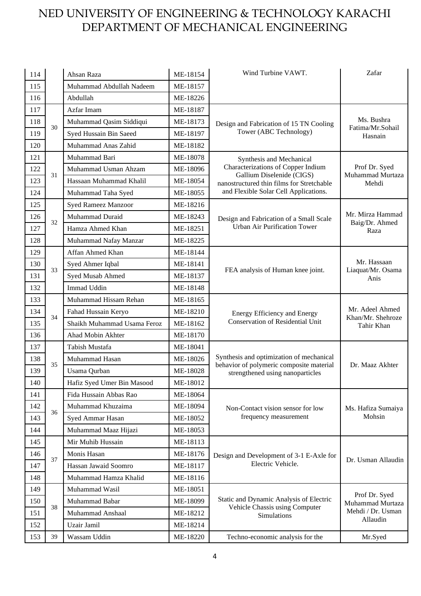| 114 |    | Ahsan Raza                  | ME-18154 | Wind Turbine VAWT.                                                                                           | Zafar                                                  |
|-----|----|-----------------------------|----------|--------------------------------------------------------------------------------------------------------------|--------------------------------------------------------|
| 115 |    | Muhammad Abdullah Nadeem    | ME-18157 |                                                                                                              |                                                        |
| 116 |    | Abdullah                    | ME-18226 |                                                                                                              |                                                        |
| 117 |    | Azfar Imam                  | ME-18187 |                                                                                                              |                                                        |
| 118 |    | Muhammad Qasim Siddiqui     | ME-18173 | Design and Fabrication of 15 TN Cooling                                                                      | Ms. Bushra                                             |
| 119 | 30 | Syed Hussain Bin Saeed      | ME-18197 | Tower (ABC Technology)                                                                                       | Fatima/Mr.Sohail<br>Hasnain                            |
| 120 |    | Muhammad Anas Zahid         | ME-18182 |                                                                                                              |                                                        |
| 121 |    | Muhammad Bari               | ME-18078 | Synthesis and Mechanical                                                                                     |                                                        |
| 122 |    | Muhammad Usman Ahzam        | ME-18096 | Characterizations of Copper Indium<br>Gallium Diselenide (CIGS)<br>nanostructured thin films for Stretchable | Prof Dr. Syed<br>Muhammad Murtaza<br>Mehdi             |
| 123 | 31 | Hassaan Muhammad Khalil     | ME-18054 |                                                                                                              |                                                        |
| 124 |    | Muhammad Taha Syed          | ME-18055 | and Flexible Solar Cell Applications.                                                                        |                                                        |
| 125 |    | Syed Rameez Manzoor         | ME-18216 |                                                                                                              |                                                        |
| 126 | 32 | Muhammad Duraid             | ME-18243 | Design and Fabrication of a Small Scale                                                                      | Mr. Mirza Hammad                                       |
| 127 |    | Hamza Ahmed Khan            | ME-18251 | <b>Urban Air Purification Tower</b>                                                                          | Baig/Dr. Ahmed<br>Raza                                 |
| 128 |    | Muhammad Nafay Manzar       | ME-18225 |                                                                                                              |                                                        |
| 129 |    | Affan Ahmed Khan            | ME-18144 |                                                                                                              |                                                        |
| 130 |    | Syed Ahmer Iqbal            | ME-18141 | FEA analysis of Human knee joint.                                                                            | Mr. Hassaan<br>Liaquat/Mr. Osama<br>Anis               |
| 131 | 33 | Syed Musab Ahmed            | ME-18137 |                                                                                                              |                                                        |
| 132 |    | <b>Immad Uddin</b>          | ME-18148 |                                                                                                              |                                                        |
| 133 |    | Muhammad Hissam Rehan       | ME-18165 | <b>Energy Efficiency and Energy</b><br><b>Conservation of Residential Unit</b>                               | Mr. Adeel Ahmed<br>Khan/Mr. Shehroze<br>Tahir Khan     |
| 134 | 34 | Fahad Hussain Keryo         | ME-18210 |                                                                                                              |                                                        |
| 135 |    | Shaikh Muhammad Usama Feroz | ME-18162 |                                                                                                              |                                                        |
| 136 |    | Ahad Mobin Akhter           | ME-18170 |                                                                                                              |                                                        |
| 137 |    | Tabish Mustafa              | ME-18041 |                                                                                                              |                                                        |
| 138 | 35 | Muhammad Hasan              | ME-18026 | Synthesis and optimization of mechanical<br>behavior of polymeric composite material                         | Dr. Maaz Akhter                                        |
| 139 |    | Usama Qurban                | ME-18028 | strengthened using nanoparticles                                                                             |                                                        |
| 140 |    | Hafiz Syed Umer Bin Masood  | ME-18012 |                                                                                                              |                                                        |
| 141 |    | Fida Hussain Abbas Rao      | ME-18064 |                                                                                                              |                                                        |
| 142 | 36 | Muhammad Khuzaima           | ME-18094 | Non-Contact vision sensor for low<br>frequency measurement                                                   | Ms. Hafiza Sumaiya                                     |
| 143 |    | Syed Ammar Hasan            | ME-18052 |                                                                                                              | Mohsin                                                 |
| 144 |    | Muhammad Maaz Hijazi        | ME-18053 |                                                                                                              |                                                        |
| 145 |    | Mir Muhib Hussain           | ME-18113 |                                                                                                              |                                                        |
| 146 | 37 | Monis Hasan                 | ME-18176 | Design and Development of 3-1 E-Axle for<br>Electric Vehicle.                                                | Dr. Usman Allaudin                                     |
| 147 |    | Hassan Jawaid Soomro        | ME-18117 |                                                                                                              |                                                        |
| 148 |    | Muhammad Hamza Khalid       | ME-18116 |                                                                                                              |                                                        |
| 149 |    | Muhammad Wasil              | ME-18051 |                                                                                                              |                                                        |
| 150 | 38 | Muhammad Babar              | ME-18099 | Static and Dynamic Analysis of Electric<br>Vehicle Chassis using Computer<br>Simulations                     | Prof Dr. Syed<br>Muhammad Murtaza<br>Mehdi / Dr. Usman |
| 151 |    | Muhammad Anshaal            | ME-18212 |                                                                                                              |                                                        |
| 152 |    | Uzair Jamil                 | ME-18214 |                                                                                                              | Allaudin                                               |
| 153 | 39 | Wassam Uddin                | ME-18220 | Techno-economic analysis for the                                                                             | Mr.Syed                                                |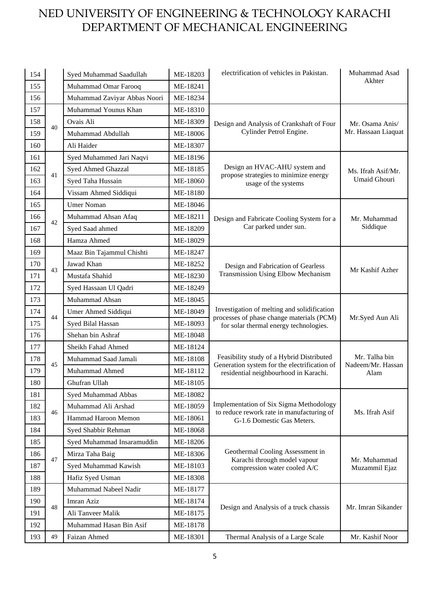| 154 |    | Syed Muhammad Saadullah      | ME-18203 | electrification of vehicles in Pakistan.                                                                                           | Muhammad Asad                              |
|-----|----|------------------------------|----------|------------------------------------------------------------------------------------------------------------------------------------|--------------------------------------------|
| 155 |    | Muhammad Omar Farooq         | ME-18241 |                                                                                                                                    | Akhter                                     |
| 156 |    | Muhammad Zaviyar Abbas Noori | ME-18234 |                                                                                                                                    |                                            |
| 157 |    | Muhammad Younus Khan         | ME-18310 |                                                                                                                                    |                                            |
| 158 |    | Ovais Ali                    | ME-18309 | Design and Analysis of Crankshaft of Four<br>Cylinder Petrol Engine.                                                               | Mr. Osama Anis/<br>Mr. Hassaan Liaquat     |
| 159 | 40 | Muhammad Abdullah            | ME-18006 |                                                                                                                                    |                                            |
| 160 |    | Ali Haider                   | ME-18307 |                                                                                                                                    |                                            |
| 161 |    | Syed Muhammed Jari Naqvi     | ME-18196 |                                                                                                                                    |                                            |
| 162 | 41 | Syed Ahmed Ghazzal           | ME-18185 | Design an HVAC-AHU system and<br>propose strategies to minimize energy                                                             | Ms. Ifrah Asif/Mr.                         |
| 163 |    | Syed Taha Hussain            | ME-18060 | usage of the systems                                                                                                               | Umaid Ghouri                               |
| 164 |    | Vissam Ahmed Siddiqui        | ME-18180 |                                                                                                                                    |                                            |
| 165 |    | <b>Umer Noman</b>            | ME-18046 |                                                                                                                                    |                                            |
| 166 | 42 | Muhammad Ahsan Afaq          | ME-18211 | Design and Fabricate Cooling System for a<br>Car parked under sun.                                                                 | Mr. Muhammad                               |
| 167 |    | Syed Saad ahmed              | ME-18209 |                                                                                                                                    | Siddique                                   |
| 168 |    | Hamza Ahmed                  | ME-18029 |                                                                                                                                    |                                            |
| 169 |    | Maaz Bin Tajammul Chishti    | ME-18247 |                                                                                                                                    |                                            |
| 170 | 43 | Jawad Khan                   | ME-18252 | Design and Fabrication of Gearless<br>Transmission Using Elbow Mechanism                                                           | Mr Kashif Azher                            |
| 171 |    | Mustafa Shahid               | ME-18230 |                                                                                                                                    |                                            |
| 172 |    | Syed Hassaan Ul Qadri        | ME-18249 |                                                                                                                                    |                                            |
| 173 |    | Muhammad Ahsan               | ME-18045 | Investigation of melting and solidification<br>processes of phase change materials (PCM)<br>for solar thermal energy technologies. | Mr.Syed Aun Ali                            |
| 174 | 44 | Umer Ahmed Siddiqui          | ME-18049 |                                                                                                                                    |                                            |
| 175 |    | Syed Bilal Hassan            | ME-18093 |                                                                                                                                    |                                            |
| 176 |    | Shehan bin Ashraf            | ME-18048 |                                                                                                                                    |                                            |
| 177 |    | Sheikh Fahad Ahmed           | ME-18124 |                                                                                                                                    | Mr. Talha bin<br>Nadeem/Mr. Hassan<br>Alam |
| 178 | 45 | Muhammad Saad Jamali         | ME-18108 | Feasibility study of a Hybrid Distributed                                                                                          |                                            |
| 179 |    | Muhammad Ahmed               | ME-18112 | Generation system for the electrification of<br>residential neighbourhood in Karachi.                                              |                                            |
| 180 |    | Ghufran Ullah                | ME-18105 |                                                                                                                                    |                                            |
| 181 |    | Syed Muhammad Abbas          | ME-18082 |                                                                                                                                    |                                            |
| 182 | 46 | Muhammad Ali Arshad          | ME-18059 | Implementation of Six Sigma Methodology<br>to reduce rework rate in manufacturing of                                               | Ms. Ifrah Asif                             |
| 183 |    | Hammad Haroon Memon          | ME-18061 | G-1.6 Domestic Gas Meters.                                                                                                         |                                            |
| 184 |    | Syed Shabbir Rehman          | ME-18068 |                                                                                                                                    |                                            |
| 185 |    | Syed Muhammad Insaramuddin   | ME-18206 |                                                                                                                                    | Mr. Muhammad<br>Muzammil Ejaz              |
| 186 |    | Mirza Taha Baig              | ME-18306 | Geothermal Cooling Assessment in<br>Karachi through model vapour<br>compression water cooled A/C                                   |                                            |
| 187 | 47 | Syed Muhammad Kawish         | ME-18103 |                                                                                                                                    |                                            |
| 188 |    | Hafiz Syed Usman             | ME-18308 |                                                                                                                                    |                                            |
| 189 |    | Muhammad Nabeel Nadir        | ME-18177 |                                                                                                                                    | Mr. Imran Sikander                         |
| 190 | 48 | Imran Aziz                   | ME-18174 | Design and Analysis of a truck chassis                                                                                             |                                            |
| 191 |    | Ali Tanveer Malik            | ME-18175 |                                                                                                                                    |                                            |
| 192 |    | Muhammad Hasan Bin Asif      | ME-18178 |                                                                                                                                    |                                            |
| 193 | 49 | Faizan Ahmed                 | ME-18301 | Thermal Analysis of a Large Scale                                                                                                  | Mr. Kashif Noor                            |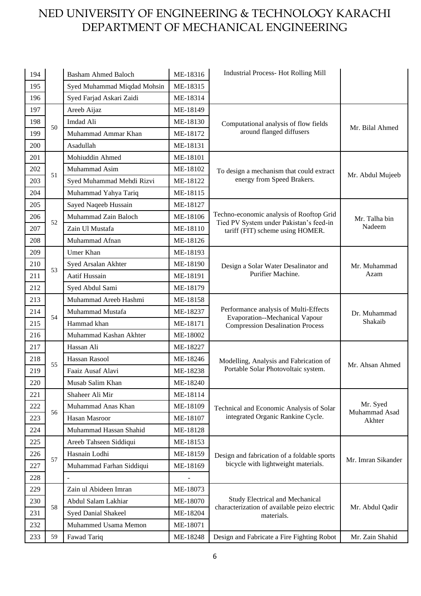| 194 |    | <b>Basham Ahmed Baloch</b>  | ME-18316 | <b>Industrial Process-Hot Rolling Mill</b>                                                                                |                           |
|-----|----|-----------------------------|----------|---------------------------------------------------------------------------------------------------------------------------|---------------------------|
| 195 |    | Syed Muhammad Miqdad Mohsin | ME-18315 |                                                                                                                           |                           |
| 196 |    | Syed Farjad Askari Zaidi    | ME-18314 |                                                                                                                           |                           |
| 197 |    | Areeb Aijaz                 | ME-18149 |                                                                                                                           |                           |
| 198 |    | Imdad Ali                   | ME-18130 | Computational analysis of flow fields                                                                                     |                           |
| 199 | 50 | Muhammad Ammar Khan         | ME-18172 | around flanged diffusers                                                                                                  | Mr. Bilal Ahmed           |
| 200 |    | Asadullah                   | ME-18131 |                                                                                                                           |                           |
| 201 |    | Mohiuddin Ahmed             | ME-18101 |                                                                                                                           |                           |
| 202 |    | Muhammad Asim               | ME-18102 | To design a mechanism that could extract                                                                                  |                           |
| 203 | 51 | Syed Muhammad Mehdi Rizvi   | ME-18122 | energy from Speed Brakers.                                                                                                | Mr. Abdul Mujeeb          |
| 204 |    | Muhammad Yahya Tariq        | ME-18115 |                                                                                                                           |                           |
| 205 |    | Sayed Naqeeb Hussain        | ME-18127 |                                                                                                                           |                           |
| 206 | 52 | Muhammad Zain Baloch        | ME-18106 | Techno-economic analysis of Rooftop Grid                                                                                  | Mr. Talha bin             |
| 207 |    | Zain Ul Mustafa             | ME-18110 | Tied PV System under Pakistan's feed-in<br>tariff (FIT) scheme using HOMER.                                               | Nadeem                    |
| 208 |    | Muhammad Afnan              | ME-18126 |                                                                                                                           |                           |
| 209 |    | Umer Khan                   | ME-18193 |                                                                                                                           |                           |
| 210 | 53 | Syed Arsalan Akhter         | ME-18190 | Design a Solar Water Desalinator and<br>Purifier Machine.                                                                 | Mr. Muhammad<br>Azam      |
| 211 |    | Aatif Hussain               | ME-18191 |                                                                                                                           |                           |
| 212 |    | Syed Abdul Sami             | ME-18179 |                                                                                                                           |                           |
| 213 |    | Muhammad Areeb Hashmi       | ME-18158 | Performance analysis of Multi-Effects<br><b>Evaporation--Mechanical Vapour</b><br><b>Compression Desalination Process</b> | Dr. Muhammad<br>Shakaib   |
| 214 | 54 | Muhammad Mustafa            | ME-18237 |                                                                                                                           |                           |
| 215 |    | Hammad khan                 | ME-18171 |                                                                                                                           |                           |
| 216 |    | Muhammad Kashan Akhter      | ME-18002 |                                                                                                                           |                           |
| 217 |    | Hassan Ali                  | ME-18227 |                                                                                                                           |                           |
| 218 | 55 | Hassan Rasool               | ME-18246 | Modelling, Analysis and Fabrication of<br>Portable Solar Photovoltaic system.                                             | Mr. Ahsan Ahmed           |
| 219 |    | Faaiz Ausaf Alavi           | ME-18238 |                                                                                                                           |                           |
| 220 |    | Musab Salim Khan            | ME-18240 |                                                                                                                           |                           |
| 221 |    | Shaheer Ali Mir             | ME-18114 |                                                                                                                           |                           |
| 222 | 56 | Muhammad Anas Khan          | ME-18109 | Technical and Economic Analysis of Solar                                                                                  | Mr. Syed<br>Muhammad Asad |
| 223 |    | Hasan Masroor               | ME-18107 | integrated Organic Rankine Cycle.                                                                                         | Akhter                    |
| 224 |    | Muhammad Hassan Shahid      | ME-18128 |                                                                                                                           |                           |
| 225 |    | Areeb Tahseen Siddiqui      | ME-18153 |                                                                                                                           | Mr. Imran Sikander        |
| 226 | 57 | Hasnain Lodhi               | ME-18159 | Design and fabrication of a foldable sports<br>bicycle with lightweight materials.                                        |                           |
| 227 |    | Muhammad Farhan Siddiqui    | ME-18169 |                                                                                                                           |                           |
| 228 |    |                             |          |                                                                                                                           |                           |
| 229 |    | Zain ul Abideen Imran       | ME-18073 |                                                                                                                           |                           |
| 230 | 58 | Abdul Salam Lakhiar         | ME-18070 | <b>Study Electrical and Mechanical</b><br>characterization of available peizo electric<br>materials.                      |                           |
| 231 |    | Syed Danial Shakeel         | ME-18204 |                                                                                                                           | Mr. Abdul Qadir           |
| 232 |    | Muhammed Usama Memon        | ME-18071 |                                                                                                                           |                           |
| 233 | 59 | Fawad Tariq                 | ME-18248 | Design and Fabricate a Fire Fighting Robot                                                                                | Mr. Zain Shahid           |